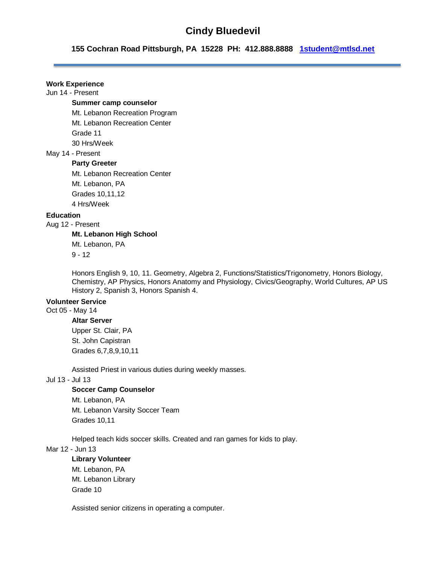# **Cindy Bluedevil**

**155 Cochran Road Pittsburgh, PA 15228 PH: 412.888.8888 [1student@mtlsd.net](mailto:1student@mtlsd.net)**

## **Work Experience**

Jun 14 - Present

#### **Summer camp counselor**

Mt. Lebanon Recreation Program Mt. Lebanon Recreation Center Grade 11 30 Hrs/Week

## May 14 - Present

#### **Party Greeter**

Mt. Lebanon Recreation Center Mt. Lebanon, PA Grades 10,11,12 4 Hrs/Week

## **Education**

Aug 12 - Present

## **Mt. Lebanon High School**

Mt. Lebanon, PA

 $9 - 12$ 

Honors English 9, 10, 11. Geometry, Algebra 2, Functions/Statistics/Trigonometry, Honors Biology, Chemistry, AP Physics, Honors Anatomy and Physiology, Civics/Geography, World Cultures, AP US History 2, Spanish 3, Honors Spanish 4.

## **Volunteer Service**

Oct 05 - May 14

## **Altar Server**

Upper St. Clair, PA St. John Capistran Grades 6,7,8,9,10,11

Assisted Priest in various duties during weekly masses.

## Jul 13 - Jul 13

#### **Soccer Camp Counselor**

Mt. Lebanon, PA Mt. Lebanon Varsity Soccer Team Grades 10,11

Helped teach kids soccer skills. Created and ran games for kids to play.

Mar 12 - Jun 13

#### **Library Volunteer**

Mt. Lebanon, PA Mt. Lebanon Library Grade 10

Assisted senior citizens in operating a computer.